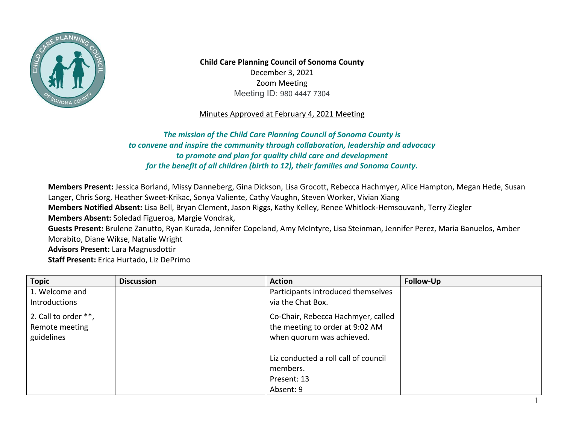

**Child Care Planning Council of Sonoma County**  December 3, 2021 Zoom Meeting Meeting ID: 980 4447 7304

## Minutes Approved at February 4, 2021 Meeting

 *to convene and inspire the community through collaboration, leadership and advocacy The mission of the Child Care Planning Council of Sonoma County is to promote and plan for quality child care and development for the benefit of all children (birth to 12), their families and Sonoma County.* 

**Members Present:** Jessica Borland, Missy Danneberg, Gina Dickson, Lisa Grocott, Rebecca Hachmyer, Alice Hampton, Megan Hede, Susan Langer, Chris Sorg, Heather Sweet-Krikac, Sonya Valiente, Cathy Vaughn, Steven Worker, Vivian Xiang **Members Notified Absent:** Lisa Bell, Bryan Clement, Jason Riggs, Kathy Kelley, Renee Whitlock-Hemsouvanh, Terry Ziegler **Members Absent:** Soledad Figueroa, Margie Vondrak, **Guests Present:** Brulene Zanutto, Ryan Kurada, Jennifer Copeland, Amy McIntyre, Lisa Steinman, Jennifer Perez, Maria Banuelos, Amber Morabito, Diane Wikse, Natalie Wright **Advisors Present:** Lara Magnusdottir **Staff Present:** Erica Hurtado, Liz DePrimo

| <b>Topic</b>         | <b>Discussion</b> | <b>Action</b>                        | Follow-Up |
|----------------------|-------------------|--------------------------------------|-----------|
| 1. Welcome and       |                   | Participants introduced themselves   |           |
| Introductions        |                   | via the Chat Box.                    |           |
| 2. Call to order **, |                   | Co-Chair, Rebecca Hachmyer, called   |           |
| Remote meeting       |                   | the meeting to order at 9:02 AM      |           |
| guidelines           |                   | when quorum was achieved.            |           |
|                      |                   | Liz conducted a roll call of council |           |
|                      |                   | members.                             |           |
|                      |                   | Present: 13                          |           |
|                      |                   | Absent: 9                            |           |

1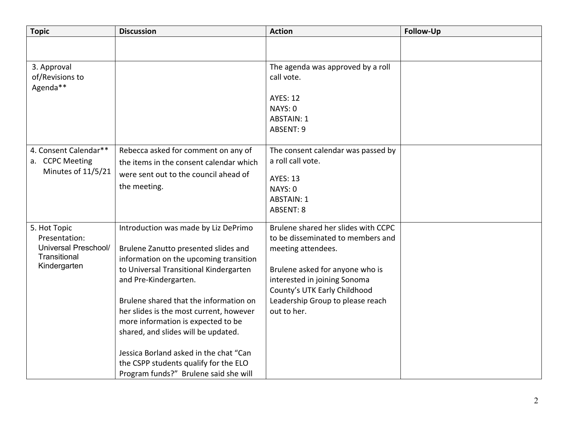| <b>Topic</b>                                                   | <b>Discussion</b>                                                                                                                                                                                                                                                                                                                       | <b>Action</b>                                                                                                  | Follow-Up |
|----------------------------------------------------------------|-----------------------------------------------------------------------------------------------------------------------------------------------------------------------------------------------------------------------------------------------------------------------------------------------------------------------------------------|----------------------------------------------------------------------------------------------------------------|-----------|
|                                                                |                                                                                                                                                                                                                                                                                                                                         |                                                                                                                |           |
| 3. Approval                                                    |                                                                                                                                                                                                                                                                                                                                         | The agenda was approved by a roll                                                                              |           |
| of/Revisions to                                                |                                                                                                                                                                                                                                                                                                                                         | call vote.                                                                                                     |           |
| Agenda**                                                       |                                                                                                                                                                                                                                                                                                                                         |                                                                                                                |           |
|                                                                |                                                                                                                                                                                                                                                                                                                                         | <b>AYES: 12</b>                                                                                                |           |
|                                                                |                                                                                                                                                                                                                                                                                                                                         | NAYS: 0                                                                                                        |           |
|                                                                |                                                                                                                                                                                                                                                                                                                                         | <b>ABSTAIN: 1</b>                                                                                              |           |
|                                                                |                                                                                                                                                                                                                                                                                                                                         |                                                                                                                |           |
|                                                                |                                                                                                                                                                                                                                                                                                                                         |                                                                                                                |           |
|                                                                |                                                                                                                                                                                                                                                                                                                                         |                                                                                                                |           |
|                                                                |                                                                                                                                                                                                                                                                                                                                         |                                                                                                                |           |
|                                                                |                                                                                                                                                                                                                                                                                                                                         | <b>AYES: 13</b>                                                                                                |           |
|                                                                | the meeting.                                                                                                                                                                                                                                                                                                                            | NAYS: 0                                                                                                        |           |
|                                                                |                                                                                                                                                                                                                                                                                                                                         | <b>ABSTAIN: 1</b>                                                                                              |           |
|                                                                |                                                                                                                                                                                                                                                                                                                                         | <b>ABSENT: 8</b>                                                                                               |           |
| 5. Hot Topic<br>Presentation:                                  | Introduction was made by Liz DePrimo                                                                                                                                                                                                                                                                                                    | Brulene shared her slides with CCPC<br>to be disseminated to members and                                       |           |
| Universal Preschool/<br>Transitional                           | Brulene Zanutto presented slides and                                                                                                                                                                                                                                                                                                    | meeting attendees.                                                                                             |           |
| Kindergarten                                                   |                                                                                                                                                                                                                                                                                                                                         |                                                                                                                |           |
|                                                                | and Pre-Kindergarten.                                                                                                                                                                                                                                                                                                                   | interested in joining Sonoma                                                                                   |           |
|                                                                |                                                                                                                                                                                                                                                                                                                                         | County's UTK Early Childhood                                                                                   |           |
|                                                                | Brulene shared that the information on                                                                                                                                                                                                                                                                                                  | Leadership Group to please reach                                                                               |           |
|                                                                | her slides is the most current, however                                                                                                                                                                                                                                                                                                 | out to her.                                                                                                    |           |
|                                                                | more information is expected to be                                                                                                                                                                                                                                                                                                      |                                                                                                                |           |
|                                                                | shared, and slides will be updated.                                                                                                                                                                                                                                                                                                     |                                                                                                                |           |
|                                                                |                                                                                                                                                                                                                                                                                                                                         |                                                                                                                |           |
|                                                                |                                                                                                                                                                                                                                                                                                                                         |                                                                                                                |           |
|                                                                |                                                                                                                                                                                                                                                                                                                                         |                                                                                                                |           |
| 4. Consent Calendar**<br>a. CCPC Meeting<br>Minutes of 11/5/21 | Rebecca asked for comment on any of<br>the items in the consent calendar which<br>were sent out to the council ahead of<br>information on the upcoming transition<br>to Universal Transitional Kindergarten<br>Jessica Borland asked in the chat "Can<br>the CSPP students qualify for the ELO<br>Program funds?" Brulene said she will | <b>ABSENT: 9</b><br>The consent calendar was passed by<br>a roll call vote.<br>Brulene asked for anyone who is |           |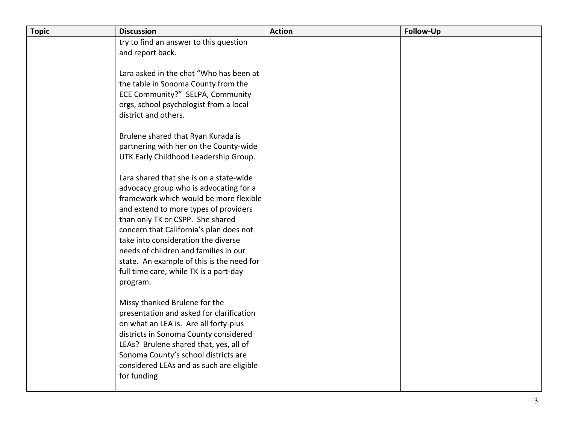| <b>Topic</b> | <b>Discussion</b>                                                                                                                                                                                                                                                                                                                                                                                                                      | <b>Action</b> | <b>Follow-Up</b> |
|--------------|----------------------------------------------------------------------------------------------------------------------------------------------------------------------------------------------------------------------------------------------------------------------------------------------------------------------------------------------------------------------------------------------------------------------------------------|---------------|------------------|
|              | try to find an answer to this question<br>and report back.                                                                                                                                                                                                                                                                                                                                                                             |               |                  |
|              | Lara asked in the chat "Who has been at<br>the table in Sonoma County from the<br>ECE Community?" SELPA, Community<br>orgs, school psychologist from a local<br>district and others.                                                                                                                                                                                                                                                   |               |                  |
|              | Brulene shared that Ryan Kurada is<br>partnering with her on the County-wide<br>UTK Early Childhood Leadership Group.                                                                                                                                                                                                                                                                                                                  |               |                  |
|              | Lara shared that she is on a state-wide<br>advocacy group who is advocating for a<br>framework which would be more flexible<br>and extend to more types of providers<br>than only TK or CSPP. She shared<br>concern that California's plan does not<br>take into consideration the diverse<br>needs of children and families in our<br>state. An example of this is the need for<br>full time care, while TK is a part-day<br>program. |               |                  |
|              | Missy thanked Brulene for the<br>presentation and asked for clarification<br>on what an LEA is. Are all forty-plus<br>districts in Sonoma County considered<br>LEAs? Brulene shared that, yes, all of<br>Sonoma County's school districts are<br>considered LEAs and as such are eligible<br>for funding                                                                                                                               |               |                  |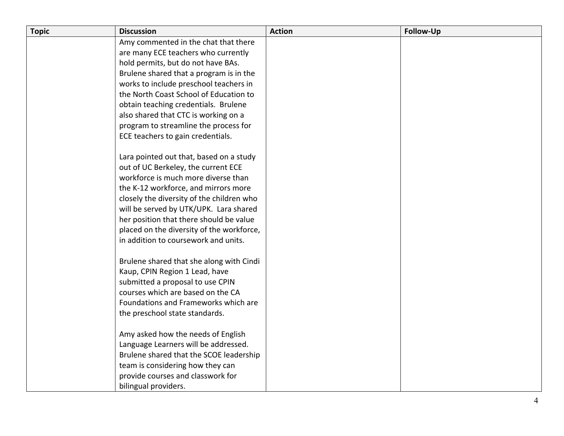| <b>Topic</b> | <b>Discussion</b>                                                                 | <b>Action</b> | <b>Follow-Up</b> |
|--------------|-----------------------------------------------------------------------------------|---------------|------------------|
|              | Amy commented in the chat that there                                              |               |                  |
|              | are many ECE teachers who currently                                               |               |                  |
|              | hold permits, but do not have BAs.                                                |               |                  |
|              | Brulene shared that a program is in the                                           |               |                  |
|              | works to include preschool teachers in                                            |               |                  |
|              | the North Coast School of Education to                                            |               |                  |
|              | obtain teaching credentials. Brulene                                              |               |                  |
|              | also shared that CTC is working on a                                              |               |                  |
|              | program to streamline the process for                                             |               |                  |
|              | ECE teachers to gain credentials.                                                 |               |                  |
|              |                                                                                   |               |                  |
|              | Lara pointed out that, based on a study                                           |               |                  |
|              | out of UC Berkeley, the current ECE                                               |               |                  |
|              | workforce is much more diverse than                                               |               |                  |
|              | the K-12 workforce, and mirrors more<br>closely the diversity of the children who |               |                  |
|              | will be served by UTK/UPK. Lara shared                                            |               |                  |
|              | her position that there should be value                                           |               |                  |
|              | placed on the diversity of the workforce,                                         |               |                  |
|              | in addition to coursework and units.                                              |               |                  |
|              |                                                                                   |               |                  |
|              | Brulene shared that she along with Cindi                                          |               |                  |
|              | Kaup, CPIN Region 1 Lead, have                                                    |               |                  |
|              | submitted a proposal to use CPIN                                                  |               |                  |
|              | courses which are based on the CA                                                 |               |                  |
|              | Foundations and Frameworks which are                                              |               |                  |
|              | the preschool state standards.                                                    |               |                  |
|              |                                                                                   |               |                  |
|              | Amy asked how the needs of English                                                |               |                  |
|              | Language Learners will be addressed.                                              |               |                  |
|              | Brulene shared that the SCOE leadership                                           |               |                  |
|              | team is considering how they can                                                  |               |                  |
|              | provide courses and classwork for                                                 |               |                  |
|              | bilingual providers.                                                              |               |                  |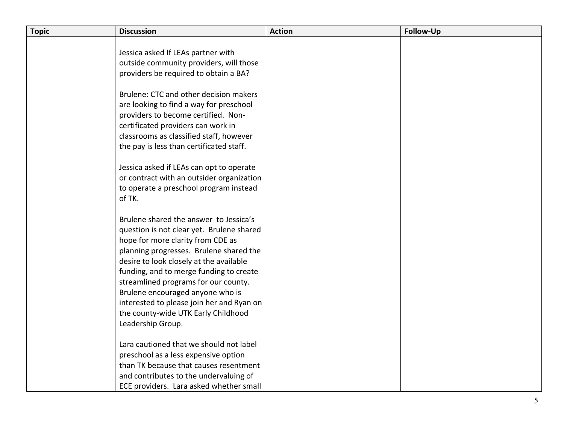| <b>Topic</b> | <b>Discussion</b>                         | <b>Action</b> | Follow-Up |
|--------------|-------------------------------------------|---------------|-----------|
|              |                                           |               |           |
|              | Jessica asked If LEAs partner with        |               |           |
|              | outside community providers, will those   |               |           |
|              | providers be required to obtain a BA?     |               |           |
|              | Brulene: CTC and other decision makers    |               |           |
|              | are looking to find a way for preschool   |               |           |
|              | providers to become certified. Non-       |               |           |
|              | certificated providers can work in        |               |           |
|              | classrooms as classified staff, however   |               |           |
|              | the pay is less than certificated staff.  |               |           |
|              |                                           |               |           |
|              | Jessica asked if LEAs can opt to operate  |               |           |
|              | or contract with an outsider organization |               |           |
|              | to operate a preschool program instead    |               |           |
|              | of TK.                                    |               |           |
|              | Brulene shared the answer to Jessica's    |               |           |
|              | question is not clear yet. Brulene shared |               |           |
|              | hope for more clarity from CDE as         |               |           |
|              | planning progresses. Brulene shared the   |               |           |
|              | desire to look closely at the available   |               |           |
|              | funding, and to merge funding to create   |               |           |
|              | streamlined programs for our county.      |               |           |
|              | Brulene encouraged anyone who is          |               |           |
|              | interested to please join her and Ryan on |               |           |
|              | the county-wide UTK Early Childhood       |               |           |
|              | Leadership Group.                         |               |           |
|              |                                           |               |           |
|              | Lara cautioned that we should not label   |               |           |
|              | preschool as a less expensive option      |               |           |
|              | than TK because that causes resentment    |               |           |
|              | and contributes to the undervaluing of    |               |           |
|              | ECE providers. Lara asked whether small   |               |           |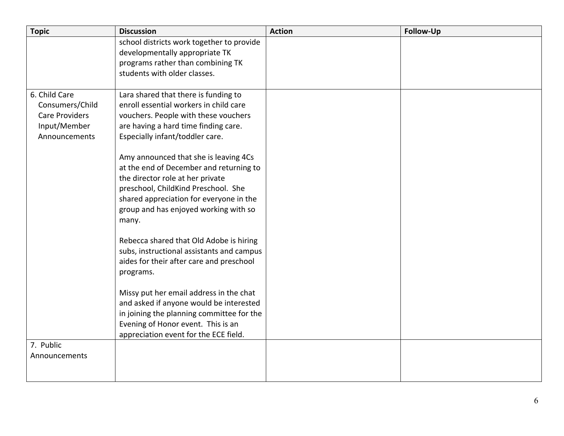| <b>Topic</b>                                                                               | <b>Discussion</b>                                                                                                                                                                                                                                        | <b>Action</b> | <b>Follow-Up</b> |
|--------------------------------------------------------------------------------------------|----------------------------------------------------------------------------------------------------------------------------------------------------------------------------------------------------------------------------------------------------------|---------------|------------------|
|                                                                                            | school districts work together to provide<br>developmentally appropriate TK<br>programs rather than combining TK<br>students with older classes.                                                                                                         |               |                  |
| 6. Child Care<br>Consumers/Child<br><b>Care Providers</b><br>Input/Member<br>Announcements | Lara shared that there is funding to<br>enroll essential workers in child care<br>vouchers. People with these vouchers<br>are having a hard time finding care.<br>Especially infant/toddler care.                                                        |               |                  |
|                                                                                            | Amy announced that she is leaving 4Cs<br>at the end of December and returning to<br>the director role at her private<br>preschool, ChildKind Preschool. She<br>shared appreciation for everyone in the<br>group and has enjoyed working with so<br>many. |               |                  |
|                                                                                            | Rebecca shared that Old Adobe is hiring<br>subs, instructional assistants and campus<br>aides for their after care and preschool<br>programs.                                                                                                            |               |                  |
|                                                                                            | Missy put her email address in the chat<br>and asked if anyone would be interested<br>in joining the planning committee for the<br>Evening of Honor event. This is an<br>appreciation event for the ECE field.                                           |               |                  |
| 7. Public<br>Announcements                                                                 |                                                                                                                                                                                                                                                          |               |                  |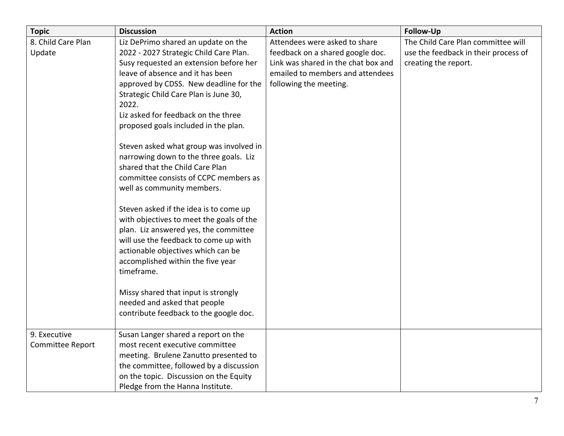| <b>Topic</b>       | <b>Discussion</b>                        | <b>Action</b>                       | <b>Follow-Up</b>                     |
|--------------------|------------------------------------------|-------------------------------------|--------------------------------------|
| 8. Child Care Plan | Liz DePrimo shared an update on the      | Attendees were asked to share       | The Child Care Plan committee will   |
| Update             | 2022 - 2027 Strategic Child Care Plan.   | feedback on a shared google doc.    | use the feedback in their process of |
|                    | Susy requested an extension before her   | Link was shared in the chat box and | creating the report.                 |
|                    | leave of absence and it has been         | emailed to members and attendees    |                                      |
|                    | approved by CDSS. New deadline for the   | following the meeting.              |                                      |
|                    | Strategic Child Care Plan is June 30,    |                                     |                                      |
|                    | 2022.                                    |                                     |                                      |
|                    | Liz asked for feedback on the three      |                                     |                                      |
|                    | proposed goals included in the plan.     |                                     |                                      |
|                    | Steven asked what group was involved in  |                                     |                                      |
|                    | narrowing down to the three goals. Liz   |                                     |                                      |
|                    | shared that the Child Care Plan          |                                     |                                      |
|                    | committee consists of CCPC members as    |                                     |                                      |
|                    | well as community members.               |                                     |                                      |
|                    | Steven asked if the idea is to come up   |                                     |                                      |
|                    | with objectives to meet the goals of the |                                     |                                      |
|                    | plan. Liz answered yes, the committee    |                                     |                                      |
|                    | will use the feedback to come up with    |                                     |                                      |
|                    | actionable objectives which can be       |                                     |                                      |
|                    | accomplished within the five year        |                                     |                                      |
|                    | timeframe.                               |                                     |                                      |
|                    | Missy shared that input is strongly      |                                     |                                      |
|                    | needed and asked that people             |                                     |                                      |
|                    | contribute feedback to the google doc.   |                                     |                                      |
|                    |                                          |                                     |                                      |
| 9. Executive       | Susan Langer shared a report on the      |                                     |                                      |
| Committee Report   | most recent executive committee          |                                     |                                      |
|                    | meeting. Brulene Zanutto presented to    |                                     |                                      |
|                    | the committee, followed by a discussion  |                                     |                                      |
|                    | on the topic. Discussion on the Equity   |                                     |                                      |
|                    | Pledge from the Hanna Institute.         |                                     |                                      |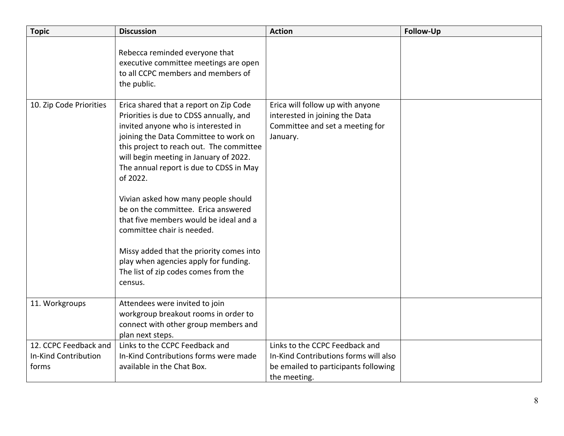| <b>Topic</b>                                           | <b>Discussion</b>                                                                                                                                                                                                                                                                                                                                                                                                                                                                                                                                                                                            | <b>Action</b>                                                                                                                   | <b>Follow-Up</b> |
|--------------------------------------------------------|--------------------------------------------------------------------------------------------------------------------------------------------------------------------------------------------------------------------------------------------------------------------------------------------------------------------------------------------------------------------------------------------------------------------------------------------------------------------------------------------------------------------------------------------------------------------------------------------------------------|---------------------------------------------------------------------------------------------------------------------------------|------------------|
|                                                        | Rebecca reminded everyone that<br>executive committee meetings are open<br>to all CCPC members and members of<br>the public.                                                                                                                                                                                                                                                                                                                                                                                                                                                                                 |                                                                                                                                 |                  |
| 10. Zip Code Priorities                                | Erica shared that a report on Zip Code<br>Priorities is due to CDSS annually, and<br>invited anyone who is interested in<br>joining the Data Committee to work on<br>this project to reach out. The committee<br>will begin meeting in January of 2022.<br>The annual report is due to CDSS in May<br>of 2022.<br>Vivian asked how many people should<br>be on the committee. Erica answered<br>that five members would be ideal and a<br>committee chair is needed.<br>Missy added that the priority comes into<br>play when agencies apply for funding.<br>The list of zip codes comes from the<br>census. | Erica will follow up with anyone<br>interested in joining the Data<br>Committee and set a meeting for<br>January.               |                  |
| 11. Workgroups                                         | Attendees were invited to join<br>workgroup breakout rooms in order to<br>connect with other group members and<br>plan next steps.                                                                                                                                                                                                                                                                                                                                                                                                                                                                           |                                                                                                                                 |                  |
| 12. CCPC Feedback and<br>In-Kind Contribution<br>forms | Links to the CCPC Feedback and<br>In-Kind Contributions forms were made<br>available in the Chat Box.                                                                                                                                                                                                                                                                                                                                                                                                                                                                                                        | Links to the CCPC Feedback and<br>In-Kind Contributions forms will also<br>be emailed to participants following<br>the meeting. |                  |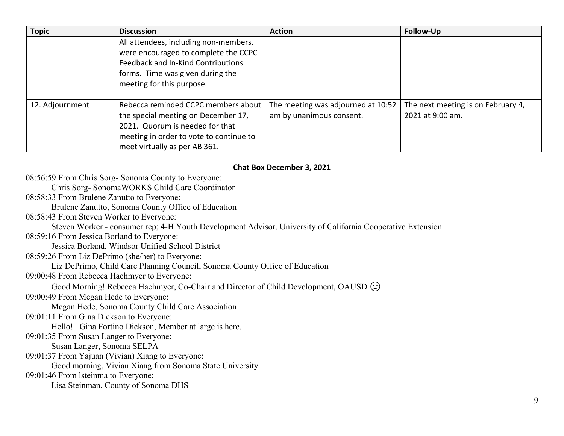| <b>Topic</b>    | <b>Discussion</b>                                                                                                                                                                         | <b>Action</b>                                                  | Follow-Up                                              |
|-----------------|-------------------------------------------------------------------------------------------------------------------------------------------------------------------------------------------|----------------------------------------------------------------|--------------------------------------------------------|
|                 | All attendees, including non-members,<br>were encouraged to complete the CCPC<br>Feedback and In-Kind Contributions<br>forms. Time was given during the<br>meeting for this purpose.      |                                                                |                                                        |
| 12. Adjournment | Rebecca reminded CCPC members about<br>the special meeting on December 17,<br>2021. Quorum is needed for that<br>meeting in order to vote to continue to<br>meet virtually as per AB 361. | The meeting was adjourned at 10:52<br>am by unanimous consent. | The next meeting is on February 4,<br>2021 at 9:00 am. |

## **Chat Box December 3, 2021**

08:56:59 From Chris Sorg- Sonoma County to Everyone:

Chris Sorg- SonomaWORKS Child Care Coordinator

08:58:33 From Brulene Zanutto to Everyone:

Brulene Zanutto, Sonoma County Office of Education

08:58:43 From Steven Worker to Everyone:

Steven Worker - consumer rep; 4-H Youth Development Advisor, University of California Cooperative Extension

08:59:16 From Jessica Borland to Everyone:

Jessica Borland, Windsor Unified School District

08:59:26 From Liz DePrimo (she/her) to Everyone:

Liz DePrimo, Child Care Planning Council, Sonoma County Office of Education

09:00:48 From Rebecca Hachmyer to Everyone:

Good Morning! Rebecca Hachmyer, Co-Chair and Director of Child Development, OAUSD  $\odot$ 

09:00:49 From Megan Hede to Everyone:

Megan Hede, Sonoma County Child Care Association

09:01:11 From Gina Dickson to Everyone:

Hello! Gina Fortino Dickson, Member at large is here.

09:01:35 From Susan Langer to Everyone:

Susan Langer, Sonoma SELPA

09:01:37 From Yajuan (Vivian) Xiang to Everyone:

Good morning, Vivian Xiang from Sonoma State University

09:01:46 From lsteinma to Everyone:

Lisa Steinman, County of Sonoma DHS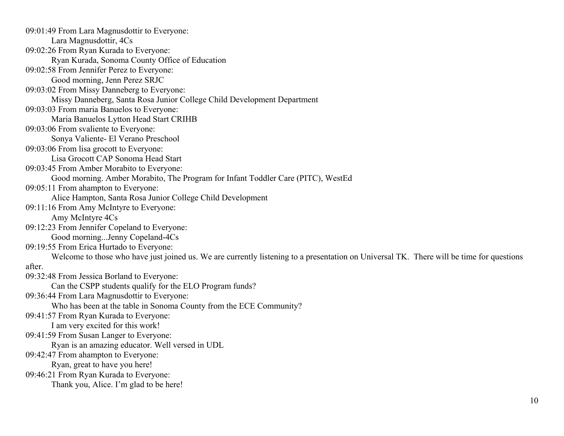Maria Banuelos Lytton Head Start CRIHB Can the CSPP students qualify for the ELO Program funds? I am very excited for this work! 09:01:49 From Lara Magnusdottir to Everyone: Lara Magnusdottir, 4Cs 09:02:26 From Ryan Kurada to Everyone: Ryan Kurada, Sonoma County Office of Education 09:02:58 From Jennifer Perez to Everyone: Good morning, Jenn Perez SRJC 09:03:02 From Missy Danneberg to Everyone: Missy Danneberg, Santa Rosa Junior College Child Development Department 09:03:03 From maria Banuelos to Everyone: 09:03:06 From svaliente to Everyone: Sonya Valiente- El Verano Preschool 09:03:06 From lisa grocott to Everyone: Lisa Grocott CAP Sonoma Head Start 09:03:45 From Amber Morabito to Everyone: Good morning. Amber Morabito, The Program for Infant Toddler Care (PITC), WestEd 09:05:11 From ahampton to Everyone: Alice Hampton, Santa Rosa Junior College Child Development 09:11:16 From Amy McIntyre to Everyone: Amy McIntyre 4Cs 09:12:23 From Jennifer Copeland to Everyone: Good morning...Jenny Copeland-4Cs 09:19:55 From Erica Hurtado to Everyone: Welcome to those who have just joined us. We are currently listening to a presentation on Universal TK. There will be time for questions after. 09:32:48 From Jessica Borland to Everyone: 09:36:44 From Lara Magnusdottir to Everyone: Who has been at the table in Sonoma County from the ECE Community? 09:41:57 From Ryan Kurada to Everyone: 09:41:59 From Susan Langer to Everyone: Ryan is an amazing educator. Well versed in UDL 09:42:47 From ahampton to Everyone: Ryan, great to have you here! 09:46:21 From Ryan Kurada to Everyone: Thank you, Alice. I'm glad to be here!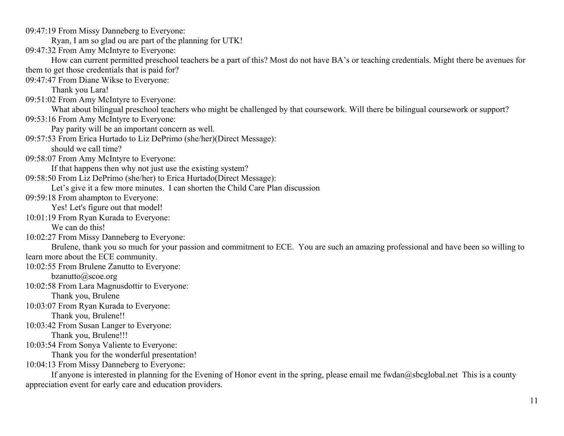09:47:19 From Missy Danneberg to Everyone:

Ryan, I am so glad ou are part of the planning for UTK!

09:47:32 From Amy McIntyre to Everyone:

How can current permitted preschool teachers be a part of this? Most do not have BA's or teaching credentials. Might there be avenues for them to get those credentials that is paid for?

09:47:47 From Diane Wikse to Everyone:

Thank you Lara!

09:51:02 From Amy McIntyre to Everyone:

What about bilingual preschool teachers who might be challenged by that coursework. Will there be bilingual coursework or support?

09:53:16 From Amy McIntyre to Everyone:

Pay parity will be an important concern as well.

09:57:53 From Erica Hurtado to Liz DePrimo (she/her)(Direct Message):

should we call time?

09:58:07 From Amy McIntyre to Everyone:

If that happens then why not just use the existing system?

09:58:50 From Liz DePrimo (she/her) to Erica Hurtado(Direct Message):

Let's give it a few more minutes. I can shorten the Child Care Plan discussion

09:59:18 From ahampton to Everyone:

Yes! Let's figure out that model!

10:01:19 From Ryan Kurada to Everyone:

We can do this!

10:02:27 From Missy Danneberg to Everyone:

Brulene, thank you so much for your passion and commitment to ECE. You are such an amazing professional and have been so willing to learn more about the ECE community.

10:02:55 From Brulene Zanutto to Everyone:

[bzanutto@scoe.org](mailto:bzanutto@scoe.org) 

10:02:58 From Lara Magnusdottir to Everyone:

Thank you, Brulene

10:03:07 From Ryan Kurada to Everyone: Thank you, Brulene!!

10:03:42 From Susan Langer to Everyone:

Thank you, Brulene!!!

10:03:54 From Sonya Valiente to Everyone:

Thank you for the wonderful presentation!

10:04:13 From Missy Danneberg to Everyone:

If anyone is interested in planning for the Evening of Honor event in the spring, please email me [fwdan@sbcglobal.net](mailto:fwdan@sbcglobal.net) This is a county appreciation event for early care and education providers.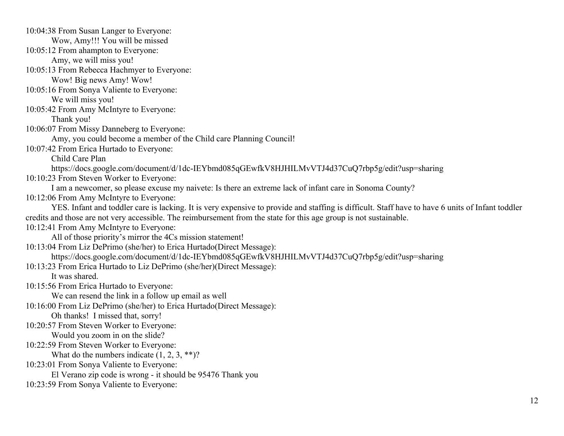YES. Infant and toddler care is lacking. It is very expensive to provide and staffing is difficult. Staff have to have 6 units of Infant toddler 10:13:23 From Erica Hurtado to Liz DePrimo (she/her)(Direct Message): We can resend the link in a follow up email as well Oh thanks! I missed that, sorry! 10:04:38 From Susan Langer to Everyone: Wow, Amy!!! You will be missed 10:05:12 From ahampton to Everyone: Amy, we will miss you! 10:05:13 From Rebecca Hachmyer to Everyone: Wow! Big news Amy! Wow! 10:05:16 From Sonya Valiente to Everyone: We will miss you! 10:05:42 From Amy McIntyre to Everyone: Thank you! 10:06:07 From Missy Danneberg to Everyone: Amy, you could become a member of the Child care Planning Council! 10:07:42 From Erica Hurtado to Everyone: Child Care Plan <https://docs.google.com/document/d/1dc-IEYbmd085qGEwfkV8HJHILMvVTJ4d37CuQ7rbp5g/edit?usp=sharing> 10:10:23 From Steven Worker to Everyone: I am a newcomer, so please excuse my naivete: Is there an extreme lack of infant care in Sonoma County? 10:12:06 From Amy McIntyre to Everyone: credits and those are not very accessible. The reimbursement from the state for this age group is not sustainable. 10:12:41 From Amy McIntyre to Everyone: All of those priority's mirror the 4Cs mission statement! 10:13:04 From Liz DePrimo (she/her) to Erica Hurtado(Direct Message): <https://docs.google.com/document/d/1dc-IEYbmd085qGEwfkV8HJHILMvVTJ4d37CuQ7rbp5g/edit?usp=sharing> It was shared. 10:15:56 From Erica Hurtado to Everyone: 10:16:00 From Liz DePrimo (she/her) to Erica Hurtado(Direct Message): 10:20:57 From Steven Worker to Everyone: Would you zoom in on the slide? 10:22:59 From Steven Worker to Everyone: What do the numbers indicate  $(1, 2, 3, **)$ ? 10:23:01 From Sonya Valiente to Everyone: El Verano zip code is wrong - it should be 95476 Thank you 10:23:59 From Sonya Valiente to Everyone: